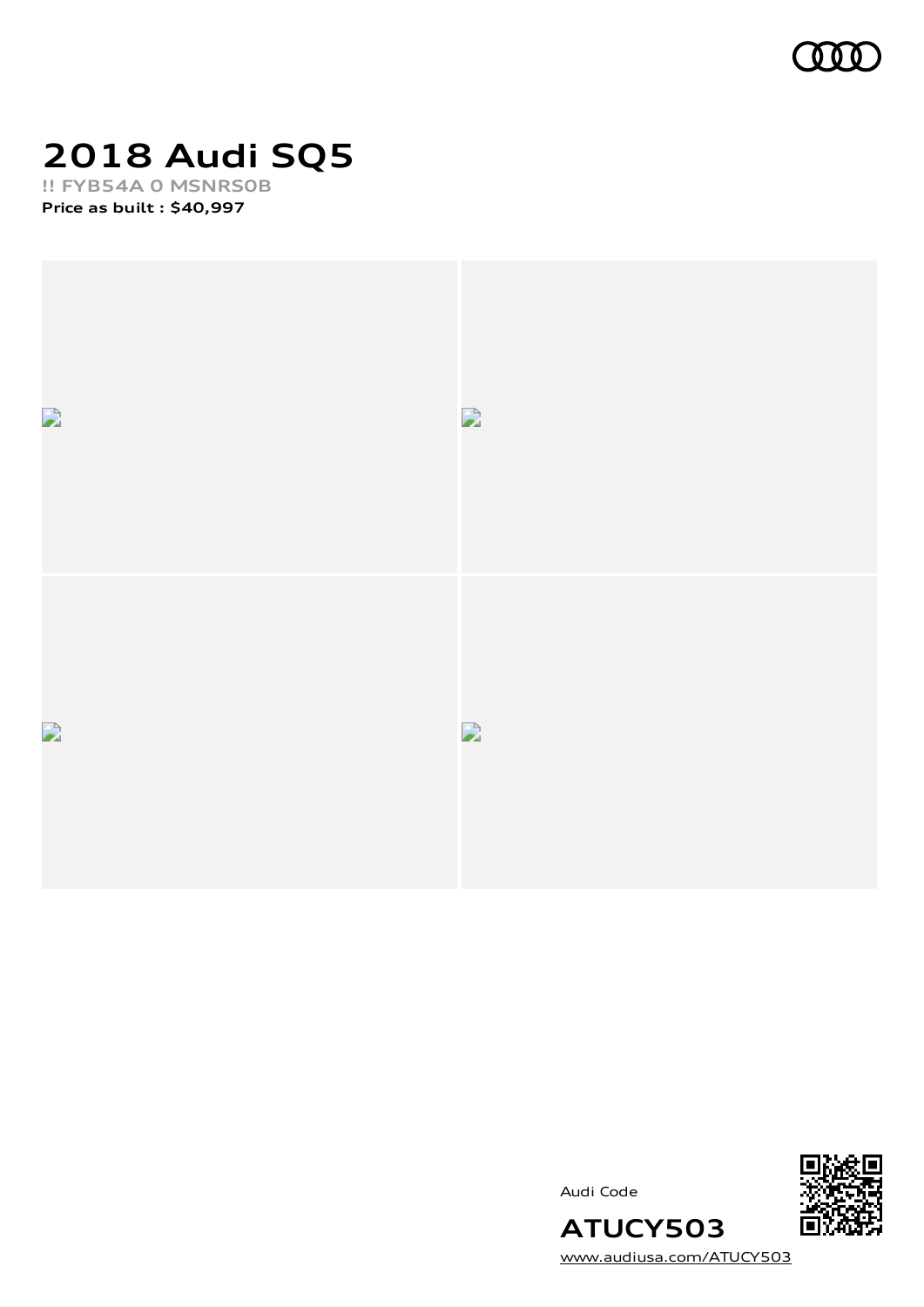

# **2018 Audi SQ5**

**!! FYB54A 0 MSNRS0B Price as built [:](#page-6-0) \$40,997**





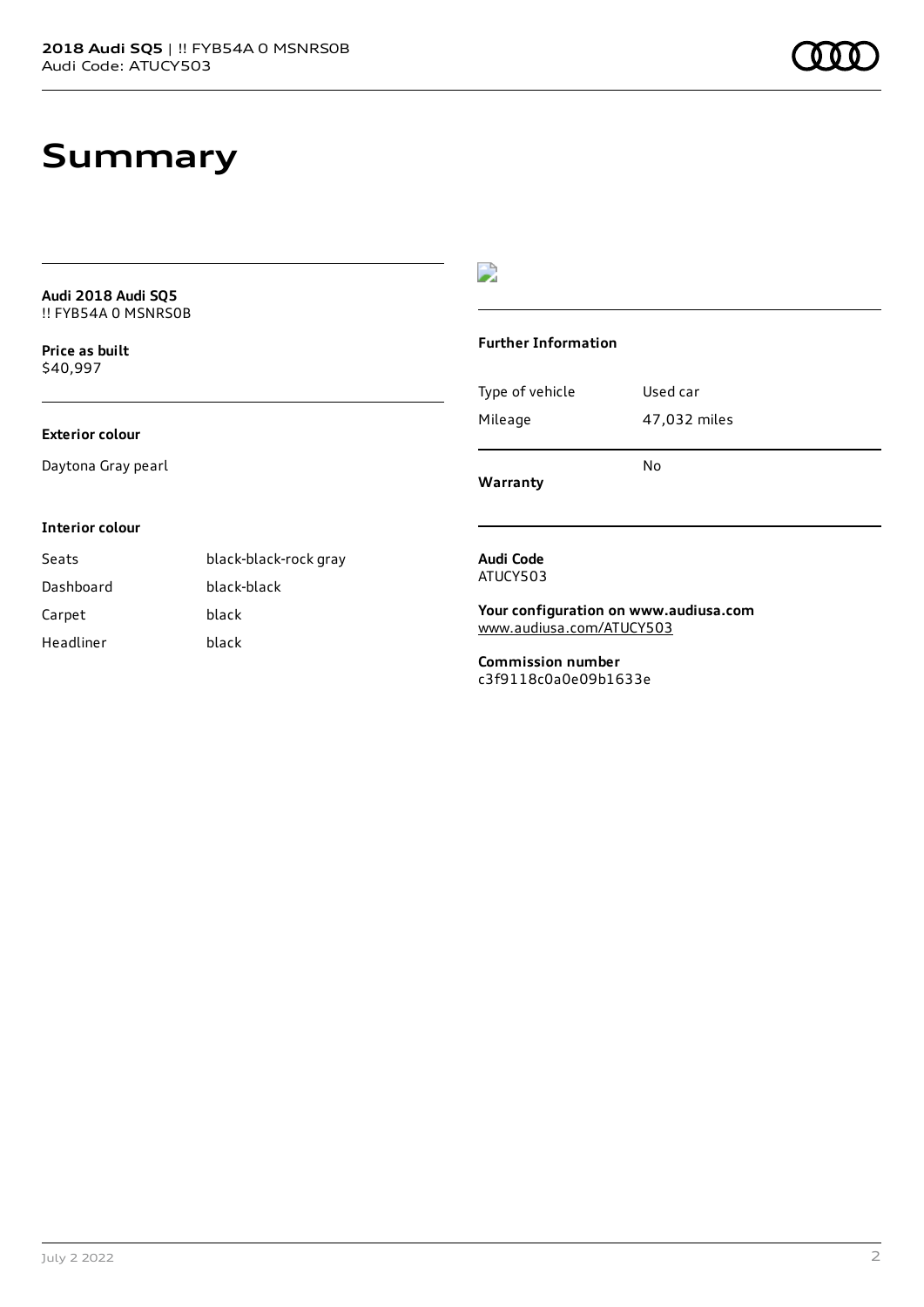### **Summary**

| Audi 2018 Audi SQ5<br>!! FYB54A 0 MSNRS0B |                       |                                                  |              |
|-------------------------------------------|-----------------------|--------------------------------------------------|--------------|
| Price as built<br>\$40,997                |                       | <b>Further Information</b>                       |              |
|                                           |                       | Type of vehicle                                  | Used car     |
| <b>Exterior colour</b>                    |                       | Mileage                                          | 47,032 miles |
| Daytona Gray pearl                        |                       | Warranty                                         | <b>No</b>    |
| <b>Interior colour</b>                    |                       |                                                  |              |
| Seats                                     | black-black-rock gray | Audi Code                                        |              |
| Dashboard                                 | black-black           | ATUCY503                                         |              |
| Carpet                                    | black                 | Your configuration on www.audiusa.com            |              |
| Headliner                                 | black                 | www.audiusa.com/ATUCY503                         |              |
|                                           |                       | <b>Commission number</b><br>c3f9118c0a0e09b1633e |              |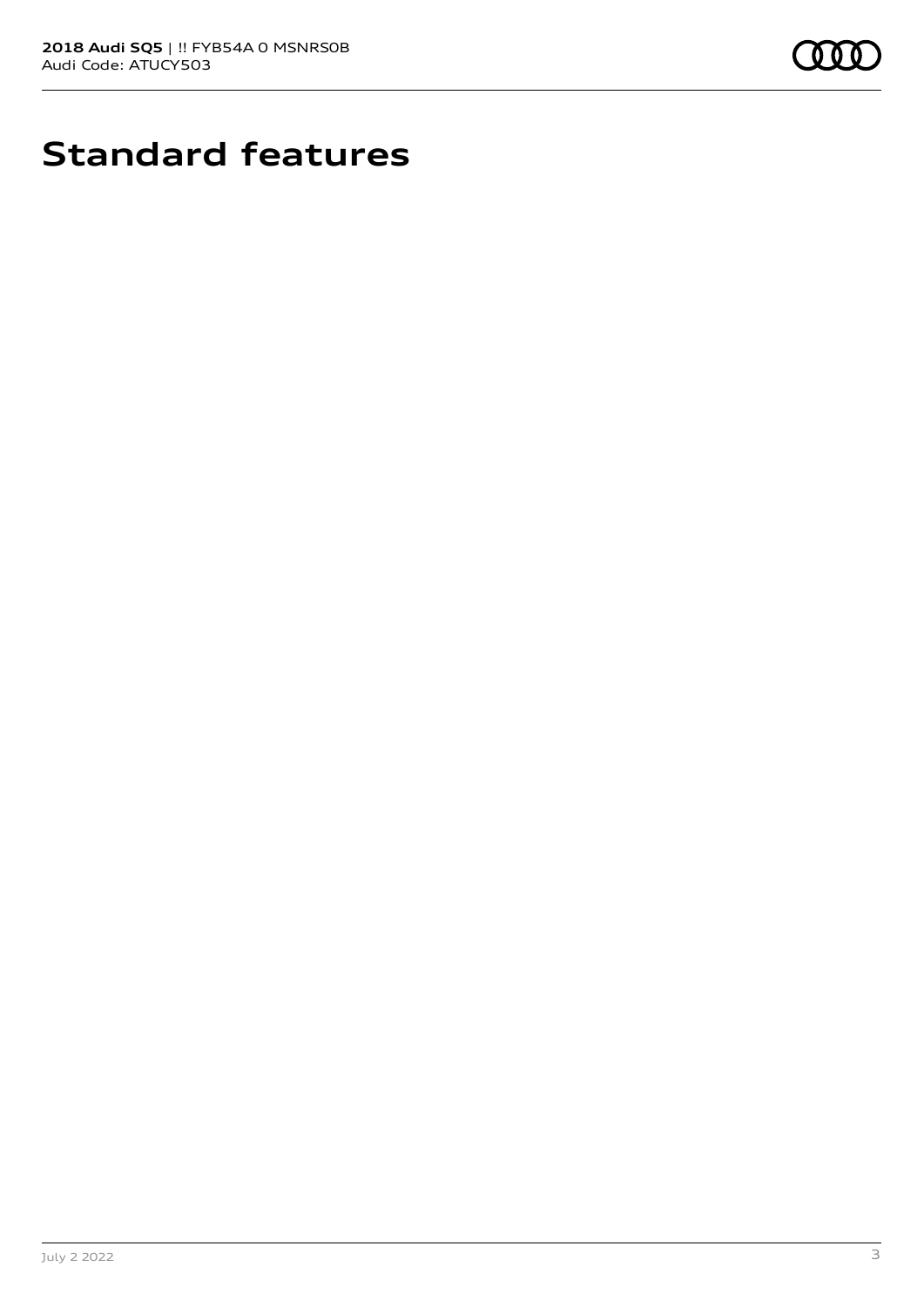

# **Standard features**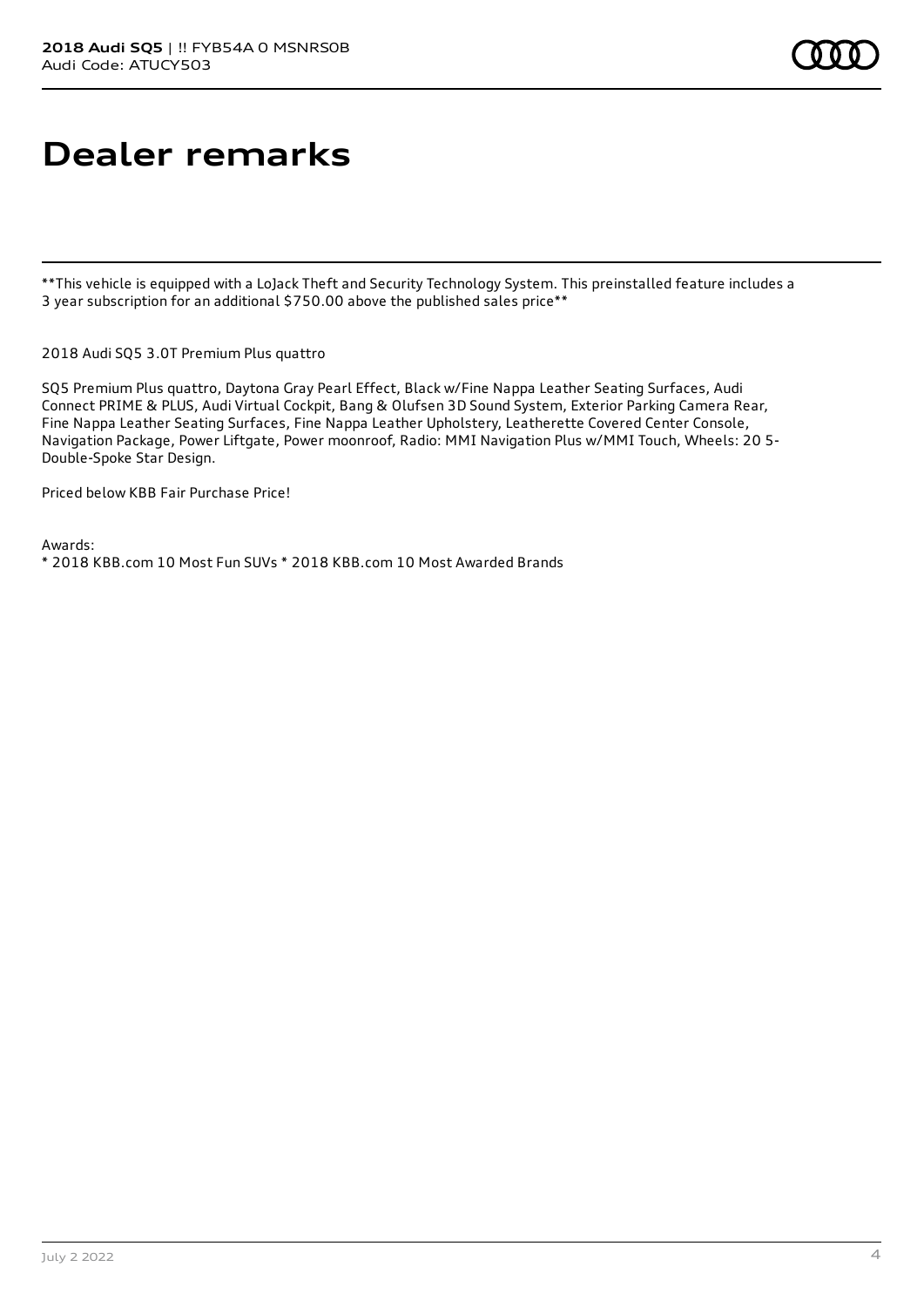## **Dealer remarks**

\*\*This vehicle is equipped with a LoJack Theft and Security Technology System. This preinstalled feature includes a 3 year subscription for an additional \$750.00 above the published sales price\*\*

2018 Audi SQ5 3.0T Premium Plus quattro

SQ5 Premium Plus quattro, Daytona Gray Pearl Effect, Black w/Fine Nappa Leather Seating Surfaces, Audi Connect PRIME & PLUS, Audi Virtual Cockpit, Bang & Olufsen 3D Sound System, Exterior Parking Camera Rear, Fine Nappa Leather Seating Surfaces, Fine Nappa Leather Upholstery, Leatherette Covered Center Console, Navigation Package, Power Liftgate, Power moonroof, Radio: MMI Navigation Plus w/MMI Touch, Wheels: 20 5- Double-Spoke Star Design.

Priced below KBB Fair Purchase Price!

Awards: \* 2018 KBB.com 10 Most Fun SUVs \* 2018 KBB.com 10 Most Awarded Brands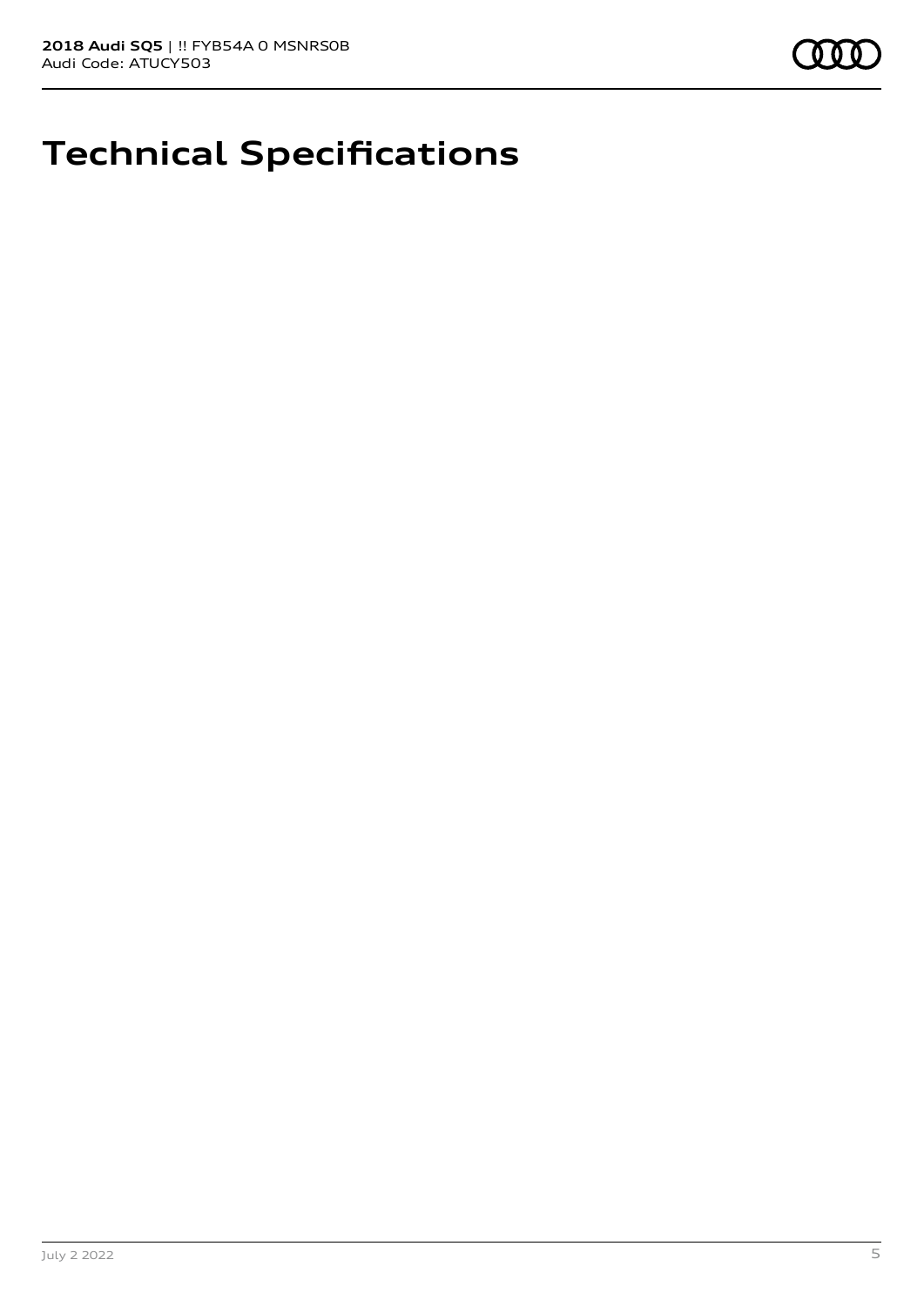# **Technical Specifications**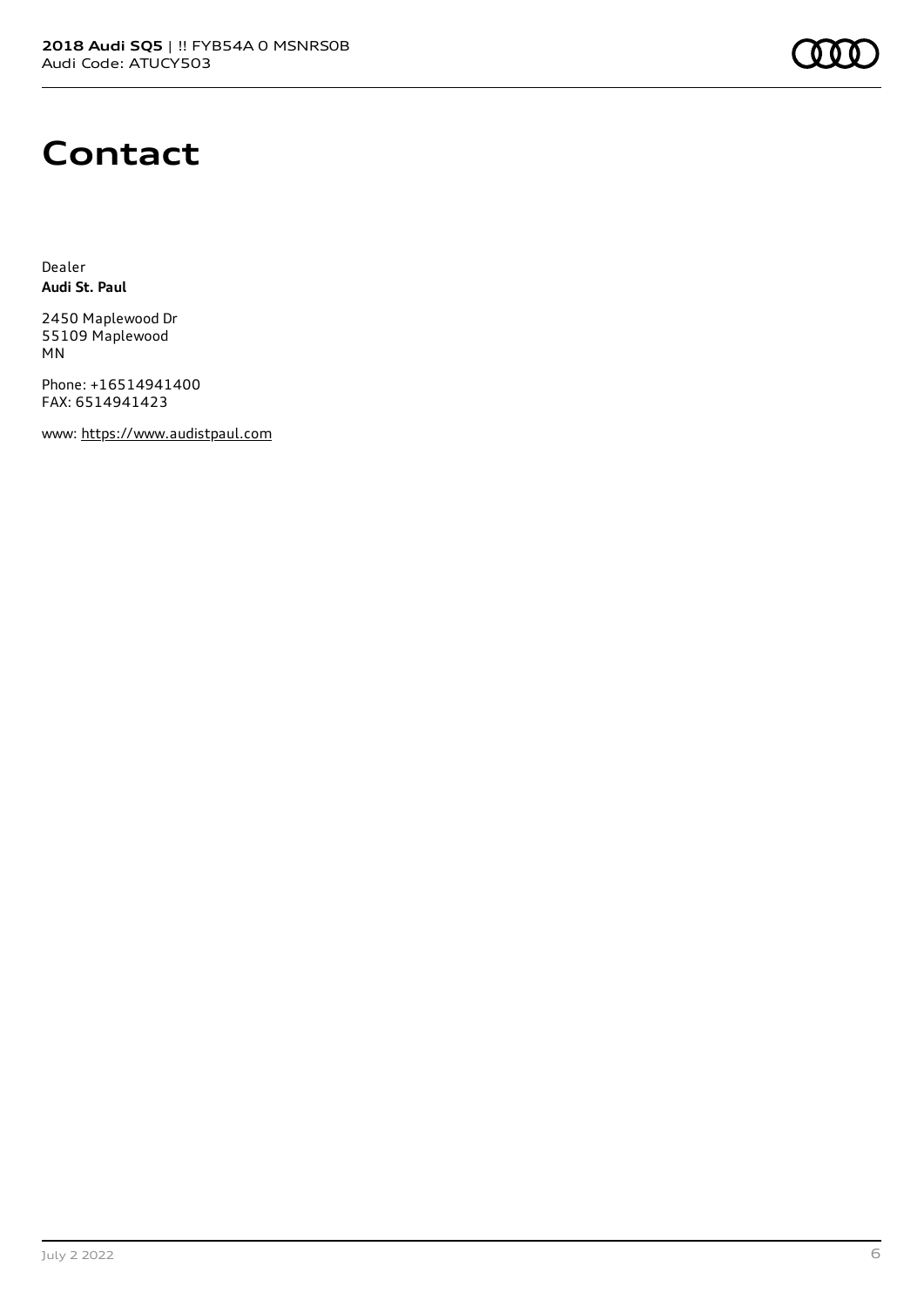#### **Contact**

Dealer **Audi St. Paul**

2450 Maplewood Dr 55109 Maplewood MN

Phone: +16514941400 FAX: 6514941423

www: [https://www.audistpaul.com](https://www.audistpaul.com/)